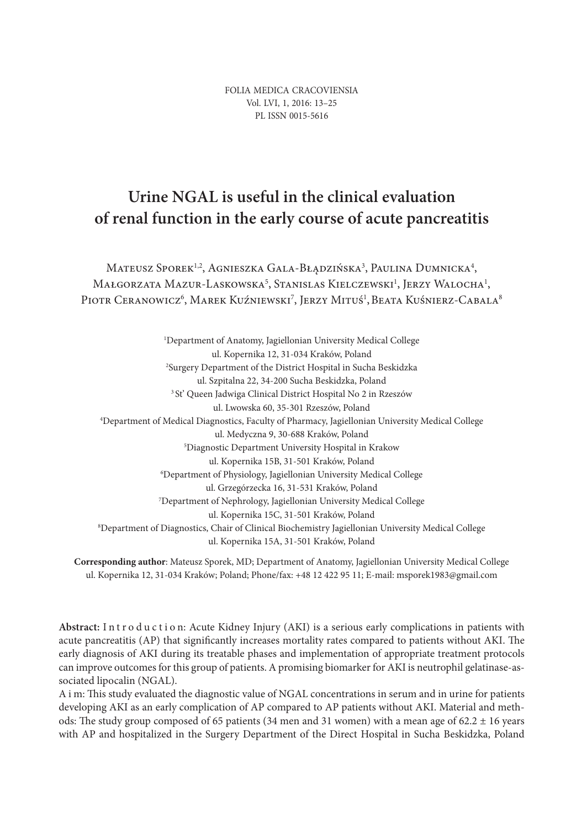FOLIA MEDICA CRACOVIENSIA Vol. LVI, 1, 2016: 13–25 PL ISSN 0015-5616

# **Urine NGAL is useful in the clinical evaluation of renal function in the early course of acute pancreatitis**

Mateusz Sporek<sup>1,2</sup>, Agnieszka Gala-Błądzińska<sup>3</sup>, Paulina Dumnicka<sup>4</sup>, Małgorzata Mazur-Laskowska<sup>5</sup>, Stanislas Kielczewski<sup>1</sup>, Jerzy Walocha<sup>1</sup>, Piotr Ceranowicz<sup>6</sup>, Marek Kuźniewski<sup>7</sup>, Jerzy Mituś<sup>1</sup>, Beata Kuśnierz-Cabala<sup>8</sup>

1 Department of Anatomy, Jagiellonian University Medical College ul. Kopernika 12, 31-034 Kraków, Poland 2 Surgery Department of the District Hospital in Sucha Beskidzka ul. Szpitalna 22, 34-200 Sucha Beskidzka, Poland 3 St' Queen Jadwiga Clinical District Hospital No 2 in Rzeszów ul. Lwowska 60, 35-301 Rzeszów, Poland 4 Department of Medical Diagnostics, Faculty of Pharmacy, Jagiellonian University Medical College ul. Medyczna 9, 30-688 Kraków, Poland 5 Diagnostic Department University Hospital in Krakow ul. Kopernika 15B, 31-501 Kraków, Poland 6 Department of Physiology, Jagiellonian University Medical College ul. Grzegórzecka 16, 31-531 Kraków, Poland 7 Department of Nephrology, Jagiellonian University Medical College ul. Kopernika 15C, 31-501 Kraków, Poland 8 Department of Diagnostics, Chair of Clinical Biochemistry Jagiellonian University Medical College ul. Kopernika 15A, 31-501 Kraków, Poland

**Corresponding author**: Mateusz Sporek, MD; Department of Anatomy, Jagiellonian University Medical College ul. Kopernika 12, 31-034 Kraków; Poland; Phone/fax: +48 12 422 95 11; E-mail: msporek1983@gmail.com

Abstract: Introduction: Acute Kidney Injury (AKI) is a serious early complications in patients with acute pancreatitis (AP) that significantly increases mortality rates compared to patients without AKI. The early diagnosis of AKI during its treatable phases and implementation of appropriate treatment protocols can improve outcomes for this group of patients. A promising biomarker for AKI is neutrophil gelatinase-associated lipocalin (NGAL).

A i m: This study evaluated the diagnostic value of NGAL concentrations in serum and in urine for patients developing AKI as an early complication of AP compared to AP patients without AKI. Material and methods: The study group composed of 65 patients (34 men and 31 women) with a mean age of  $62.2 \pm 16$  years with AP and hospitalized in the Surgery Department of the Direct Hospital in Sucha Beskidzka, Poland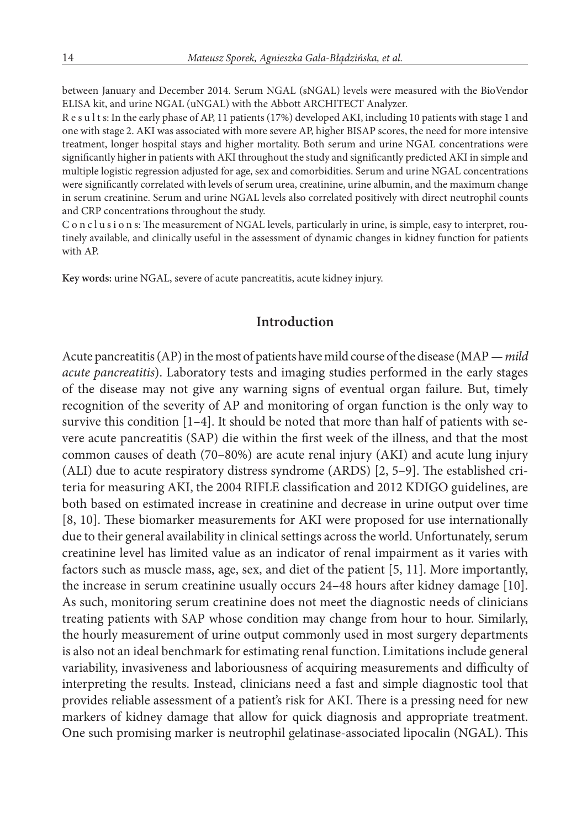between January and December 2014. Serum NGAL (sNGAL) levels were measured with the BioVendor ELISA kit, and urine NGAL (uNGAL) with the Abbott ARCHITECT Analyzer.

R e s u l t s: In the early phase of AP, 11 patients (17%) developed AKI, including 10 patients with stage 1 and one with stage 2. AKI was associated with more severe AP, higher BISAP scores, the need for more intensive treatment, longer hospital stays and higher mortality. Both serum and urine NGAL concentrations were significantly higher in patients with AKI throughout the study and significantly predicted AKI in simple and multiple logistic regression adjusted for age, sex and comorbidities. Serum and urine NGAL concentrations were significantly correlated with levels of serum urea, creatinine, urine albumin, and the maximum change in serum creatinine. Serum and urine NGAL levels also correlated positively with direct neutrophil counts and CRP concentrations throughout the study.

C o n c l u s i o n s: The measurement of NGAL levels, particularly in urine, is simple, easy to interpret, routinely available, and clinically useful in the assessment of dynamic changes in kidney function for patients with AP.

**Key words:** urine NGAL, severe of acute pancreatitis, acute kidney injury.

## **Introduction**

Acute pancreatitis (AP) in the most of patients have mild course of the disease (MAP *— mild acute pancreatitis*). Laboratory tests and imaging studies performed in the early stages of the disease may not give any warning signs of eventual organ failure. But, timely recognition of the severity of AP and monitoring of organ function is the only way to survive this condition  $[1-4]$ . It should be noted that more than half of patients with severe acute pancreatitis (SAP) die within the first week of the illness, and that the most common causes of death (70–80%) are acute renal injury (AKI) and acute lung injury (ALI) due to acute respiratory distress syndrome (ARDS) [2, 5–9]. The established criteria for measuring AKI, the 2004 RIFLE classification and 2012 KDIGO guidelines, are both based on estimated increase in creatinine and decrease in urine output over time [8, 10]. These biomarker measurements for AKI were proposed for use internationally due to their general availability in clinical settings across the world. Unfortunately, serum creatinine level has limited value as an indicator of renal impairment as it varies with factors such as muscle mass, age, sex, and diet of the patient [5, 11]. More importantly, the increase in serum creatinine usually occurs 24–48 hours after kidney damage [10]. As such, monitoring serum creatinine does not meet the diagnostic needs of clinicians treating patients with SAP whose condition may change from hour to hour. Similarly, the hourly measurement of urine output commonly used in most surgery departments is also not an ideal benchmark for estimating renal function. Limitations include general variability, invasiveness and laboriousness of acquiring measurements and difficulty of interpreting the results. Instead, clinicians need a fast and simple diagnostic tool that provides reliable assessment of a patient's risk for AKI. There is a pressing need for new markers of kidney damage that allow for quick diagnosis and appropriate treatment. One such promising marker is neutrophil gelatinase-associated lipocalin (NGAL). This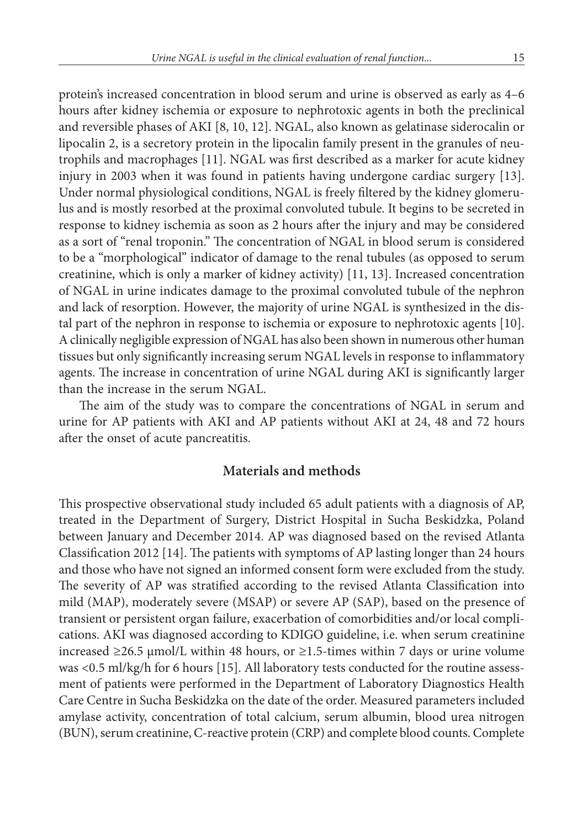protein's increased concentration in blood serum and urine is observed as early as 4–6 hours after kidney ischemia or exposure to nephrotoxic agents in both the preclinical and reversible phases of AKI [8, 10, 12]. NGAL, also known as gelatinase siderocalin or lipocalin 2, is a secretory protein in the lipocalin family present in the granules of neutrophils and macrophages [11]. NGAL was first described as a marker for acute kidney injury in 2003 when it was found in patients having undergone cardiac surgery [13]. Under normal physiological conditions, NGAL is freely filtered by the kidney glomerulus and is mostly resorbed at the proximal convoluted tubule. It begins to be secreted in response to kidney ischemia as soon as 2 hours after the injury and may be considered as a sort of "renal troponin." The concentration of NGAL in blood serum is considered to be a "morphological" indicator of damage to the renal tubules (as opposed to serum creatinine, which is only a marker of kidney activity) [11, 13]. Increased concentration of NGAL in urine indicates damage to the proximal convoluted tubule of the nephron and lack of resorption. However, the majority of urine NGAL is synthesized in the distal part of the nephron in response to ischemia or exposure to nephrotoxic agents [10]. A clinically negligible expression of NGAL has also been shown in numerous other human tissues but only significantly increasing serum NGAL levels in response to inflammatory agents. The increase in concentration of urine NGAL during AKI is significantly larger than the increase in the serum NGAL.

The aim of the study was to compare the concentrations of NGAL in serum and urine for AP patients with AKI and AP patients without AKI at 24, 48 and 72 hours after the onset of acute pancreatitis.

## **Materials and methods**

This prospective observational study included 65 adult patients with a diagnosis of AP, treated in the Department of Surgery, District Hospital in Sucha Beskidzka, Poland between January and December 2014. AP was diagnosed based on the revised Atlanta Classification 2012 [14]. The patients with symptoms of AP lasting longer than 24 hours and those who have not signed an informed consent form were excluded from the study. The severity of AP was stratified according to the revised Atlanta Classification into mild (MAP), moderately severe (MSAP) or severe AP (SAP), based on the presence of transient or persistent organ failure, exacerbation of comorbidities and/or local complications. AKI was diagnosed according to KDIGO guideline, i.e. when serum creatinine increased ≥26.5 µmol/L within 48 hours, or ≥1.5-times within 7 days or urine volume was <0.5 ml/kg/h for 6 hours [15]. All laboratory tests conducted for the routine assessment of patients were performed in the Department of Laboratory Diagnostics Health Care Centre in Sucha Beskidzka on the date of the order. Measured parameters included amylase activity, concentration of total calcium, serum albumin, blood urea nitrogen (BUN), serum creatinine, C-reactive protein (CRP) and complete blood counts. Complete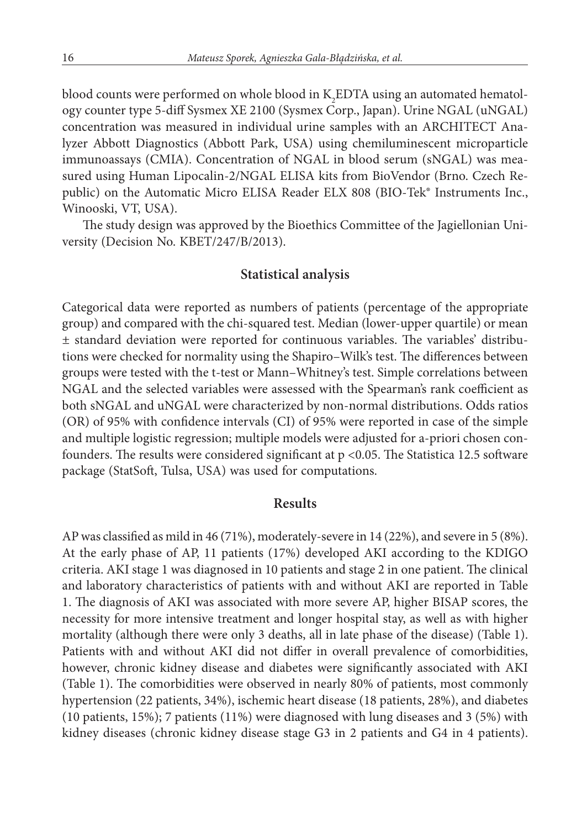blood counts were performed on whole blood in  $\mathrm{K_{2}EDTA}$  using an automated hematology counter type 5-diff Sysmex XE 2100 (Sysmex Corp., Japan). Urine NGAL (uNGAL) concentration was measured in individual urine samples with an ARCHITECT Analyzer Abbott Diagnostics (Abbott Park, USA) using chemiluminescent microparticle immunoassays (CMIA). Concentration of NGAL in blood serum (sNGAL) was measured using Human Lipocalin-2/NGAL ELISA kits from BioVendor (Brno. Czech Republic) on the Automatic Micro ELISA Reader ELX 808 (BIO-Tek® Instruments Inc., Winooski, VT, USA).

The study design was approved by the Bioethics Committee of the Jagiellonian University (Decision No. KBET/247/B/2013).

#### **Statistical analysis**

Categorical data were reported as numbers of patients (percentage of the appropriate group) and compared with the chi-squared test. Median (lower-upper quartile) or mean ± standard deviation were reported for continuous variables. The variables' distributions were checked for normality using the Shapiro–Wilk's test. The differences between groups were tested with the t-test or Mann–Whitney's test. Simple correlations between NGAL and the selected variables were assessed with the Spearman's rank coefficient as both sNGAL and uNGAL were characterized by non-normal distributions. Odds ratios (OR) of 95% with confidence intervals (CI) of 95% were reported in case of the simple and multiple logistic regression; multiple models were adjusted for a-priori chosen confounders. The results were considered significant at  $p < 0.05$ . The Statistica 12.5 software package (StatSoft, Tulsa, USA) was used for computations.

#### **Results**

AP was classified as mild in 46 (71%), moderately-severe in 14 (22%), and severe in 5 (8%). At the early phase of AP, 11 patients (17%) developed AKI according to the KDIGO criteria. AKI stage 1 was diagnosed in 10 patients and stage 2 in one patient. The clinical and laboratory characteristics of patients with and without AKI are reported in Table 1. The diagnosis of AKI was associated with more severe AP, higher BISAP scores, the necessity for more intensive treatment and longer hospital stay, as well as with higher mortality (although there were only 3 deaths, all in late phase of the disease) (Table 1). Patients with and without AKI did not differ in overall prevalence of comorbidities, however, chronic kidney disease and diabetes were significantly associated with AKI (Table 1). The comorbidities were observed in nearly 80% of patients, most commonly hypertension (22 patients, 34%), ischemic heart disease (18 patients, 28%), and diabetes (10 patients, 15%); 7 patients (11%) were diagnosed with lung diseases and 3 (5%) with kidney diseases (chronic kidney disease stage G3 in 2 patients and G4 in 4 patients).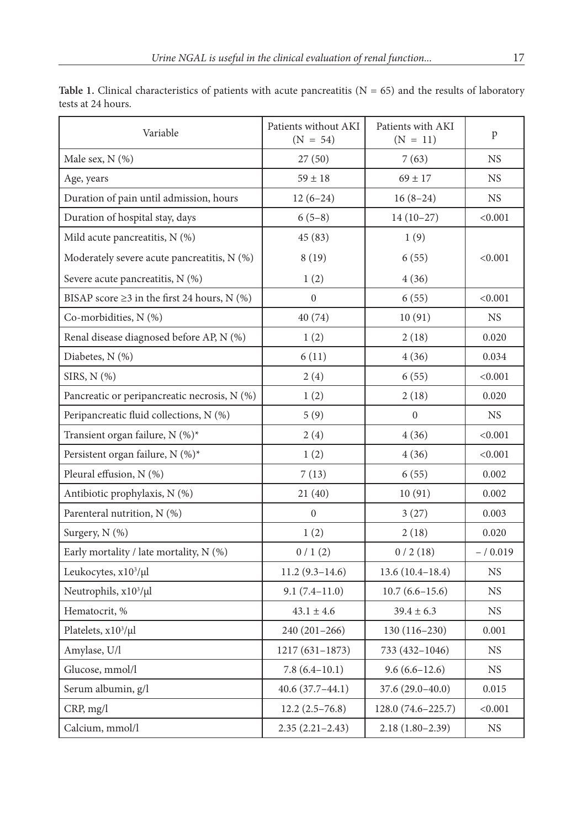| Variable                                          | Patients without AKI<br>$(N = 54)$ | Patients with AKI<br>$(N = 11)$ | p           |
|---------------------------------------------------|------------------------------------|---------------------------------|-------------|
| Male sex, $N$ $(\%)$                              | 27(50)                             | 7(63)                           | <b>NS</b>   |
| Age, years                                        | $59 \pm 18$                        | $69 \pm 17$                     | <b>NS</b>   |
| Duration of pain until admission, hours           | $12(6-24)$                         | $16(8-24)$                      | <b>NS</b>   |
| Duration of hospital stay, days                   | $6(5-8)$                           | $14(10-27)$                     | < 0.001     |
| Mild acute pancreatitis, $N$ (%)                  | 45 (83)                            | 1(9)                            |             |
| Moderately severe acute pancreatitis, $N$ $(\%)$  | 8 (19)<br>6(55)                    |                                 | < 0.001     |
| Severe acute pancreatitis, $N$ (%)                | 1(2)                               | 4 (36)                          |             |
| BISAP score $\geq$ 3 in the first 24 hours, N (%) | $\mathbf{0}$                       | 6(55)                           | < 0.001     |
| Co-morbidities, N (%)                             | 40 (74)                            | 10(91)                          | NS          |
| Renal disease diagnosed before AP, N (%)          | 1(2)                               | 2(18)                           | 0.020       |
| Diabetes, N (%)                                   | 6(11)                              | 4(36)                           | 0.034       |
| SIRS, N (%)                                       | 2(4)                               | 6(55)                           | < 0.001     |
| Pancreatic or peripancreatic necrosis, N (%)      | 1(2)                               | 2(18)                           | 0.020       |
| Peripancreatic fluid collections, N (%)           | 5(9)                               | $\boldsymbol{0}$                | NS.         |
| Transient organ failure, N (%)*                   | 2(4)                               | 4 (36)                          | < 0.001     |
| Persistent organ failure, N (%)*                  | 1(2)                               | 4(36)                           | < 0.001     |
| Pleural effusion, N (%)                           | 7(13)                              | 6(55)                           | 0.002       |
| Antibiotic prophylaxis, N (%)                     | 21(40)                             | 10(91)                          | 0.002       |
| Parenteral nutrition, N (%)                       | $\overline{0}$                     | 3(27)                           | 0.003       |
| Surgery, N (%)                                    | 1(2)                               | 2(18)                           | 0.020       |
| Early mortality / late mortality, N (%)           | 0/1(2)                             | 0/2(18)                         | $- / 0.019$ |
| Leukocytes, x10 <sup>3</sup> /µl                  | $11.2(9.3 - 14.6)$                 | $13.6(10.4 - 18.4)$             | NS.         |
| Neutrophils, x10 <sup>3</sup> /µl                 | $9.1(7.4-11.0)$                    | $10.7(6.6 - 15.6)$              | NS.         |
| Hematocrit, %                                     | $43.1 \pm 4.6$                     | $39.4 \pm 6.3$                  | NS.         |
| Platelets, x10 <sup>3</sup> /µl                   | $240(201-266)$                     | $130(116-230)$                  | 0.001       |
| Amylase, U/l                                      | $1217(631-1873)$                   | 733 (432-1046)                  | NS.         |
| Glucose, mmol/l                                   | $7.8(6.4-10.1)$                    | $9.6(6.6-12.6)$                 | NS          |
| Serum albumin, g/l                                | $40.6(37.7-44.1)$                  | 37.6 (29.0-40.0)                | 0.015       |
| CRP, mg/l                                         | $12.2(2.5-76.8)$                   | 128.0 (74.6–225.7)              | < 0.001     |
| Calcium, mmol/l                                   | $2.35(2.21-2.43)$                  | $2.18(1.80-2.39)$               | NS          |

Table 1. Clinical characteristics of patients with acute pancreatitis  $(N = 65)$  and the results of laboratory tests at 24 hours.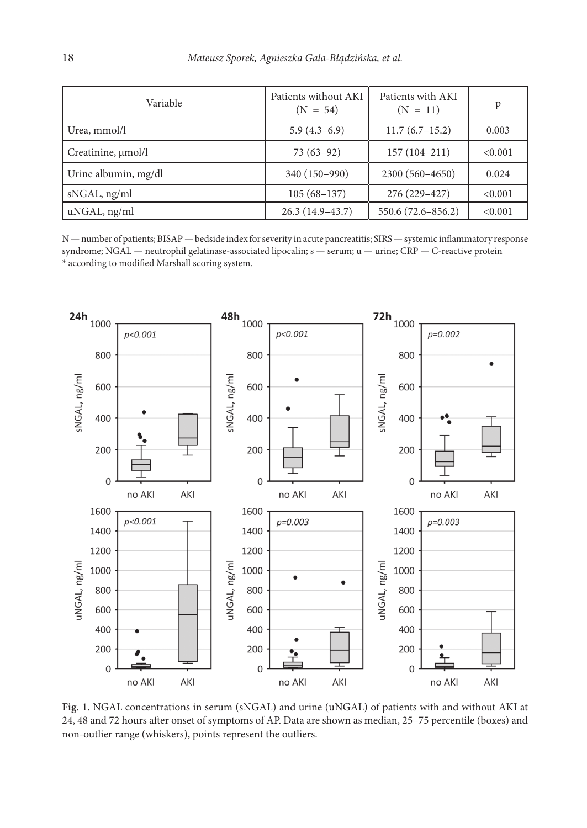| Variable             | Patients without AKI<br>$(N = 54)$ | Patients with AKI<br>$(N = 11)$ | p       |
|----------------------|------------------------------------|---------------------------------|---------|
| Urea, mmol/l         | $5.9(4.3-6.9)$                     | $11.7(6.7-15.2)$                | 0.003   |
| Creatinine, µmol/l   | $73(63-92)$                        | $157(104-211)$                  | < 0.001 |
| Urine albumin, mg/dl | 340 (150-990)                      | 2300 (560-4650)                 | 0.024   |
| sNGAL, ng/ml         | $105(68-137)$                      | 276 (229-427)                   | < 0.001 |
| uNGAL, ng/ml         | $26.3(14.9-43.7)$                  | 550.6 (72.6-856.2)              | < 0.001 |

N — number of patients; BISAP — bedside index for severity in acute pancreatitis; SIRS — systemic inflammatory response syndrome; NGAL — neutrophil gelatinase-associated lipocalin; s — serum; u — urine; CRP — C-reactive protein \* according to modified Marshall scoring system.



**Fig. 1.** NGAL concentrations in serum (sNGAL) and urine (uNGAL) of patients with and without AKI at 24, 48 and 72 hours after onset of symptoms of AP. Data are shown as median, 25–75 percentile (boxes) and non-outlier range (whiskers), points represent the outliers.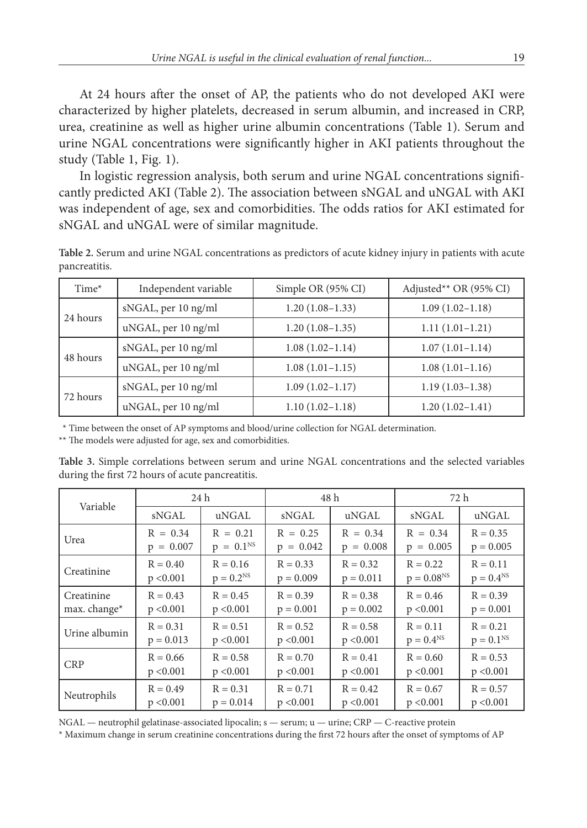At 24 hours after the onset of AP, the patients who do not developed AKI were characterized by higher platelets, decreased in serum albumin, and increased in CRP, urea, creatinine as well as higher urine albumin concentrations (Table 1). Serum and urine NGAL concentrations were significantly higher in AKI patients throughout the study (Table 1, Fig. 1).

In logistic regression analysis, both serum and urine NGAL concentrations significantly predicted AKI (Table 2). The association between sNGAL and uNGAL with AKI was independent of age, sex and comorbidities. The odds ratios for AKI estimated for sNGAL and uNGAL were of similar magnitude.

**Table 2.** Serum and urine NGAL concentrations as predictors of acute kidney injury in patients with acute pancreatitis.

| Time*    | Independent variable | Simple OR (95% CI)  | Adjusted** OR (95% CI) |
|----------|----------------------|---------------------|------------------------|
| 24 hours | sNGAL, per 10 ng/ml  | $1.20(1.08-1.33)$   | $1.09(1.02 - 1.18)$    |
|          | uNGAL, per 10 ng/ml  | $1.20(1.08-1.35)$   | $1.11(1.01-1.21)$      |
| 48 hours | sNGAL, per 10 ng/ml  | $1.08(1.02 - 1.14)$ | $1.07(1.01-1.14)$      |
|          | uNGAL, per 10 ng/ml  | $1.08(1.01-1.15)$   | $1.08(1.01-1.16)$      |
| 72 hours | sNGAL, per 10 ng/ml  | $1.09(1.02 - 1.17)$ | $1.19(1.03 - 1.38)$    |
|          | uNGAL, per 10 ng/ml  | $1.10(1.02 - 1.18)$ | $1.20(1.02-1.41)$      |

\*\* Time between the onset of AP symptoms and blood/urine collection for NGAL determination.

\*\* The models were adjusted for age, sex and comorbidities.

**Table 3.** Simple correlations between serum and urine NGAL concentrations and the selected variables during the first 72 hours of acute pancreatitis.

| Variable      | 24 h        |                | 48 h        |             | 72 h           |                |
|---------------|-------------|----------------|-------------|-------------|----------------|----------------|
|               | sNGAL       | uNGAL          | sNGAL       | uNGAL       | sNGAL          | uNGAL          |
| Urea          | $R = 0.34$  | $R = 0.21$     | $R = 0.25$  | $R = 0.34$  | $R = 0.34$     | $R = 0.35$     |
|               | $p = 0.007$ | $p = 0.1^{NS}$ | $p = 0.042$ | $p = 0.008$ | $p = 0.005$    | $p = 0.005$    |
| Creatinine    | $R = 0.40$  | $R = 0.16$     | $R = 0.33$  | $R = 0.32$  | $R = 0.22$     | $R = 0.11$     |
|               | p < 0.001   | $p = 0.2^{NS}$ | $p = 0.009$ | $p = 0.011$ | $p = 0.08NS$   | $p = 0.4^{NS}$ |
| Creatinine    | $R = 0.43$  | $R = 0.45$     | $R = 0.39$  | $R = 0.38$  | $R = 0.46$     | $R = 0.39$     |
| max. change*  | p < 0.001   | p < 0.001      | $p = 0.001$ | $p = 0.002$ | p < 0.001      | $p = 0.001$    |
| Urine albumin | $R = 0.31$  | $R = 0.51$     | $R = 0.52$  | $R = 0.58$  | $R = 0.11$     | $R = 0.21$     |
|               | $p = 0.013$ | p < 0.001      | p < 0.001   | p < 0.001   | $p = 0.4^{NS}$ | $p = 0.1^{NS}$ |
| <b>CRP</b>    | $R = 0.66$  | $R = 0.58$     | $R = 0.70$  | $R = 0.41$  | $R = 0.60$     | $R = 0.53$     |
|               | p < 0.001   | p < 0.001      | p < 0.001   | p < 0.001   | p < 0.001      | p < 0.001      |
| Neutrophils   | $R = 0.49$  | $R = 0.31$     | $R = 0.71$  | $R = 0.42$  | $R = 0.67$     | $R = 0.57$     |
|               | p < 0.001   | $p = 0.014$    | p < 0.001   | p < 0.001   | p < 0.001      | p < 0.001      |

NGAL — neutrophil gelatinase-associated lipocalin; s — serum; u — urine; CRP — C-reactive protein

\* Maximum change in serum creatinine concentrations during the first 72 hours after the onset of symptoms of AP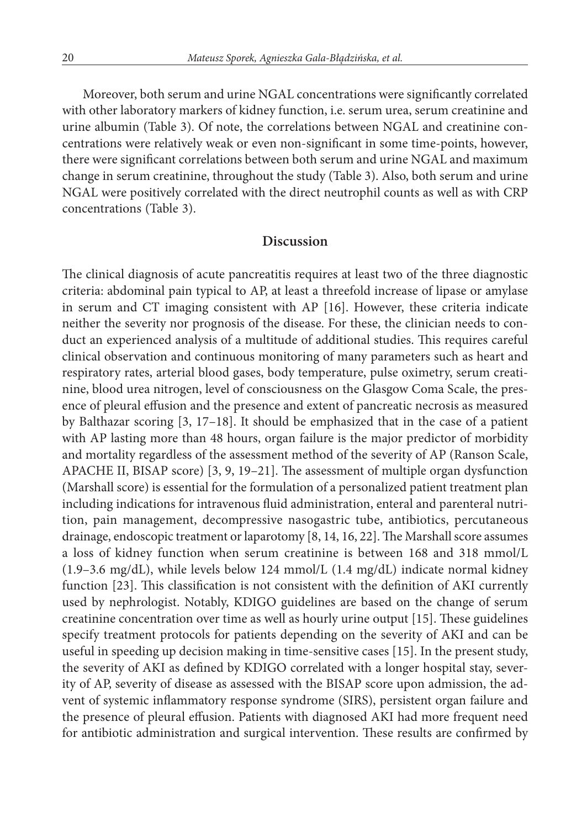Moreover, both serum and urine NGAL concentrations were significantly correlated with other laboratory markers of kidney function, i.e. serum urea, serum creatinine and urine albumin (Table 3). Of note, the correlations between NGAL and creatinine concentrations were relatively weak or even non-significant in some time-points, however, there were significant correlations between both serum and urine NGAL and maximum change in serum creatinine, throughout the study (Table 3). Also, both serum and urine NGAL were positively correlated with the direct neutrophil counts as well as with CRP concentrations (Table 3).

#### **Discussion**

The clinical diagnosis of acute pancreatitis requires at least two of the three diagnostic criteria: abdominal pain typical to AP, at least a threefold increase of lipase or amylase in serum and CT imaging consistent with AP [16]. However, these criteria indicate neither the severity nor prognosis of the disease. For these, the clinician needs to conduct an experienced analysis of a multitude of additional studies. This requires careful clinical observation and continuous monitoring of many parameters such as heart and respiratory rates, arterial blood gases, body temperature, pulse oximetry, serum creatinine, blood urea nitrogen, level of consciousness on the Glasgow Coma Scale, the presence of pleural effusion and the presence and extent of pancreatic necrosis as measured by Balthazar scoring [3, 17–18]. It should be emphasized that in the case of a patient with AP lasting more than 48 hours, organ failure is the major predictor of morbidity and mortality regardless of the assessment method of the severity of AP (Ranson Scale, APACHE II, BISAP score) [3, 9, 19–21]. The assessment of multiple organ dysfunction (Marshall score) is essential for the formulation of a personalized patient treatment plan including indications for intravenous fluid administration, enteral and parenteral nutrition, pain management, decompressive nasogastric tube, antibiotics, percutaneous drainage, endoscopic treatment or laparotomy [8, 14, 16, 22]. The Marshall score assumes a loss of kidney function when serum creatinine is between 168 and 318 mmol/L (1.9–3.6 mg/dL), while levels below 124 mmol/L (1.4 mg/dL) indicate normal kidney function [23]. This classification is not consistent with the definition of AKI currently used by nephrologist. Notably, KDIGO guidelines are based on the change of serum creatinine concentration over time as well as hourly urine output [15]. These guidelines specify treatment protocols for patients depending on the severity of AKI and can be useful in speeding up decision making in time-sensitive cases [15]. In the present study, the severity of AKI as defined by KDIGO correlated with a longer hospital stay, severity of AP, severity of disease as assessed with the BISAP score upon admission, the advent of systemic inflammatory response syndrome (SIRS), persistent organ failure and the presence of pleural effusion. Patients with diagnosed AKI had more frequent need for antibiotic administration and surgical intervention. These results are confirmed by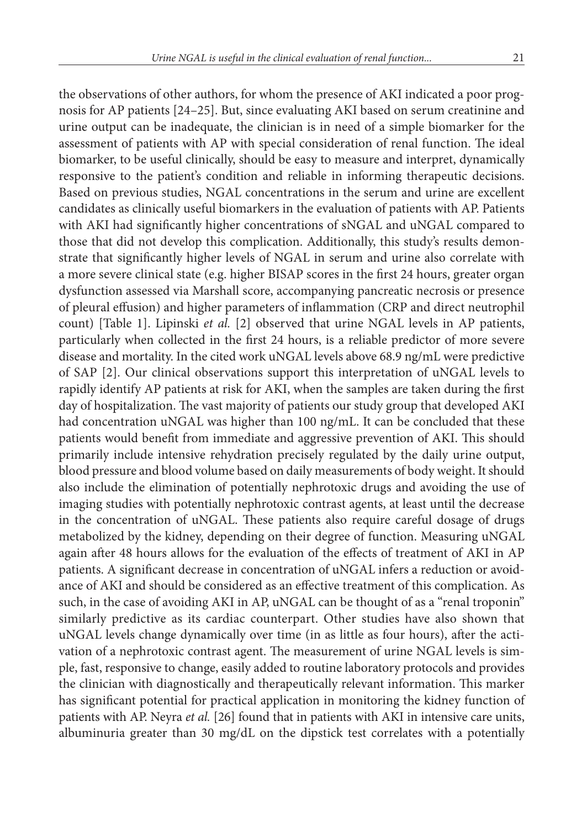the observations of other authors, for whom the presence of AKI indicated a poor prognosis for AP patients [24–25]. But, since evaluating AKI based on serum creatinine and urine output can be inadequate, the clinician is in need of a simple biomarker for the assessment of patients with AP with special consideration of renal function. The ideal biomarker, to be useful clinically, should be easy to measure and interpret, dynamically responsive to the patient's condition and reliable in informing therapeutic decisions. Based on previous studies, NGAL concentrations in the serum and urine are excellent candidates as clinically useful biomarkers in the evaluation of patients with AP. Patients with AKI had significantly higher concentrations of sNGAL and uNGAL compared to those that did not develop this complication. Additionally, this study's results demonstrate that significantly higher levels of NGAL in serum and urine also correlate with a more severe clinical state (e.g. higher BISAP scores in the first 24 hours, greater organ dysfunction assessed via Marshall score, accompanying pancreatic necrosis or presence of pleural effusion) and higher parameters of inflammation (CRP and direct neutrophil count) [Table 1]. Lipinski *et al.* [2] observed that urine NGAL levels in AP patients, particularly when collected in the first 24 hours, is a reliable predictor of more severe disease and mortality. In the cited work uNGAL levels above 68.9 ng/mL were predictive of SAP [2]. Our clinical observations support this interpretation of uNGAL levels to rapidly identify AP patients at risk for AKI, when the samples are taken during the first day of hospitalization. The vast majority of patients our study group that developed AKI had concentration uNGAL was higher than 100 ng/mL. It can be concluded that these patients would benefit from immediate and aggressive prevention of AKI. This should primarily include intensive rehydration precisely regulated by the daily urine output, blood pressure and blood volume based on daily measurements of body weight. It should also include the elimination of potentially nephrotoxic drugs and avoiding the use of imaging studies with potentially nephrotoxic contrast agents, at least until the decrease in the concentration of uNGAL. These patients also require careful dosage of drugs metabolized by the kidney, depending on their degree of function. Measuring uNGAL again after 48 hours allows for the evaluation of the effects of treatment of AKI in AP patients. A significant decrease in concentration of uNGAL infers a reduction or avoidance of AKI and should be considered as an effective treatment of this complication. As such, in the case of avoiding AKI in AP, uNGAL can be thought of as a "renal troponin" similarly predictive as its cardiac counterpart. Other studies have also shown that uNGAL levels change dynamically over time (in as little as four hours), after the activation of a nephrotoxic contrast agent. The measurement of urine NGAL levels is simple, fast, responsive to change, easily added to routine laboratory protocols and provides the clinician with diagnostically and therapeutically relevant information. This marker has significant potential for practical application in monitoring the kidney function of patients with AP. Neyra *et al.* [26] found that in patients with AKI in intensive care units, albuminuria greater than 30 mg/dL on the dipstick test correlates with a potentially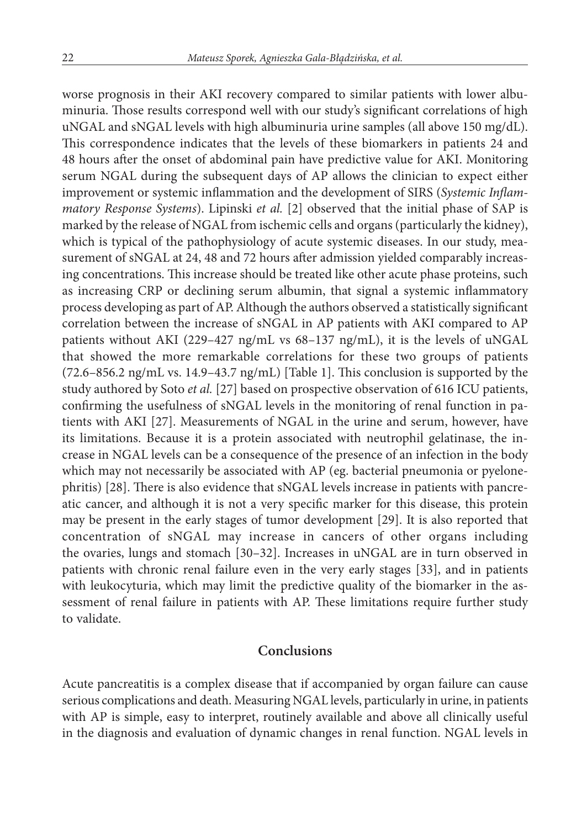worse prognosis in their AKI recovery compared to similar patients with lower albuminuria. Those results correspond well with our study's significant correlations of high uNGAL and sNGAL levels with high albuminuria urine samples (all above 150 mg/dL). This correspondence indicates that the levels of these biomarkers in patients 24 and 48 hours after the onset of abdominal pain have predictive value for AKI. Monitoring serum NGAL during the subsequent days of AP allows the clinician to expect either improvement or systemic inflammation and the development of SIRS (*Systemic Inflammatory Response Systems*). Lipinski *et al.* [2] observed that the initial phase of SAP is marked by the release of NGAL from ischemic cells and organs (particularly the kidney), which is typical of the pathophysiology of acute systemic diseases. In our study, measurement of sNGAL at 24, 48 and 72 hours after admission yielded comparably increasing concentrations. This increase should be treated like other acute phase proteins, such as increasing CRP or declining serum albumin, that signal a systemic inflammatory process developing as part of AP. Although the authors observed a statistically significant correlation between the increase of sNGAL in AP patients with AKI compared to AP patients without AKI (229–427 ng/mL vs 68–137 ng/mL), it is the levels of uNGAL that showed the more remarkable correlations for these two groups of patients (72.6–856.2 ng/mL vs. 14.9–43.7 ng/mL) [Table 1]. This conclusion is supported by the study authored by Soto *et al.* [27] based on prospective observation of 616 ICU patients, confirming the usefulness of sNGAL levels in the monitoring of renal function in patients with AKI [27]. Measurements of NGAL in the urine and serum, however, have its limitations. Because it is a protein associated with neutrophil gelatinase, the increase in NGAL levels can be a consequence of the presence of an infection in the body which may not necessarily be associated with AP (eg. bacterial pneumonia or pyelonephritis) [28]. There is also evidence that sNGAL levels increase in patients with pancreatic cancer, and although it is not a very specific marker for this disease, this protein may be present in the early stages of tumor development [29]. It is also reported that concentration of sNGAL may increase in cancers of other organs including the ovaries, lungs and stomach [30–32]. Increases in uNGAL are in turn observed in patients with chronic renal failure even in the very early stages [33], and in patients with leukocyturia, which may limit the predictive quality of the biomarker in the assessment of renal failure in patients with AP. These limitations require further study to validate.

#### **Conclusions**

Acute pancreatitis is a complex disease that if accompanied by organ failure can cause serious complications and death. Measuring NGAL levels, particularly in urine, in patients with AP is simple, easy to interpret, routinely available and above all clinically useful in the diagnosis and evaluation of dynamic changes in renal function. NGAL levels in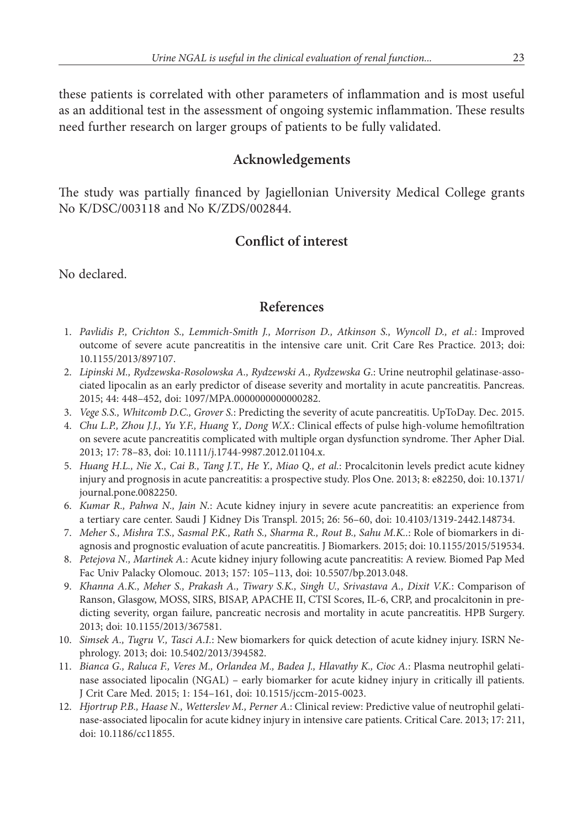these patients is correlated with other parameters of inflammation and is most useful as an additional test in the assessment of ongoing systemic inflammation. These results need further research on larger groups of patients to be fully validated.

# **Acknowledgements**

The study was partially financed by Jagiellonian University Medical College grants No K/DSC/003118 and No K/ZDS/002844.

# **Conflict of interest**

No declared.

### **References**

- 11. *Pavlidis P., Crichton S., Lemmich-Smith J., Morrison D., Atkinson S., Wyncoll D., et al.*: Improved outcome of severe acute pancreatitis in the intensive care unit. Crit Care Res Practice. 2013; doi: 10.1155/2013/897107.
- 12. *Lipinski M., Rydzewska-Rosolowska A., Rydzewski A., Rydzewska G*.: Urine neutrophil gelatinase-associated lipocalin as an early predictor of disease severity and mortality in acute pancreatitis. Pancreas. 2015; 44: 448–452, doi: 1097/MPA.0000000000000282.
- 13. *Vege S.S., Whitcomb D.C., Grover S.*: Predicting the severity of acute pancreatitis. UpToDay. Dec. 2015.
- 14. *Chu L.P., Zhou J.J., Yu Y.F., Huang Y., Dong W.X.*: Clinical effects of pulse high-volume hemofiltration on severe acute pancreatitis complicated with multiple organ dysfunction syndrome. Ther Apher Dial. 2013; 17: 78–83, doi: 10.1111/j.1744-9987.2012.01104.x.
- 15. *Huang H.L., Nie X., Cai B., Tang J.T., He Y., Miao Q., et al.*: Procalcitonin levels predict acute kidney injury and prognosis in acute pancreatitis: a prospective study. Plos One. 2013; 8: e82250, doi: 10.1371/ journal.pone.0082250.
- 16. *Kumar R., Pahwa N., Jain N.*: Acute kidney injury in severe acute pancreatitis: an experience from a tertiary care center. Saudi J Kidney Dis Transpl. 2015; 26: 56–60, doi: 10.4103/1319-2442.148734.
- 17. *Meher S., Mishra T.S., Sasmal P.K., Rath S., Sharma R., Rout B., Sahu M.K..*: Role of biomarkers in diagnosis and prognostic evaluation of acute pancreatitis. J Biomarkers. 2015; doi: 10.1155/2015/519534.
- 18. *Petejova N., Martinek A.*: Acute kidney injury following acute pancreatitis: A review. Biomed Pap Med Fac Univ Palacky Olomouc. 2013; 157: 105–113, doi: 10.5507/bp.2013.048.
- 19. *Khanna A.K., Meher S., Prakash A., Tiwary S.K., Singh U., Srivastava A., Dixit V.K.*: Comparison of Ranson, Glasgow, MOSS, SIRS, BISAP, APACHE II, CTSI Scores, IL-6, CRP, and procalcitonin in predicting severity, organ failure, pancreatic necrosis and mortality in acute pancreatitis. HPB Surgery. 2013; doi: 10.1155/2013/367581.
- 10. *Simsek A., Tugru V., Tasci A.I.*: New biomarkers for quick detection of acute kidney injury. ISRN Nephrology. 2013; doi: 10.5402/2013/394582.
- 11. *Bianca G., Raluca F., Veres M., Orlandea M., Badea J., Hlavathy K., Cioc A.*: Plasma neutrophil gelatinase associated lipocalin (NGAL) – early biomarker for acute kidney injury in critically ill patients. J Crit Care Med. 2015; 1: 154–161, doi: 10.1515/jccm-2015*-*0023.
- 12. *Hjortrup P.B., Haase N., Wetterslev M., Perner A.*: Clinical review: Predictive value of neutrophil gelatinase-associated lipocalin for acute kidney injury in intensive care patients. Critical Care. 2013; 17: 211, doi: 10.1186/cc11855.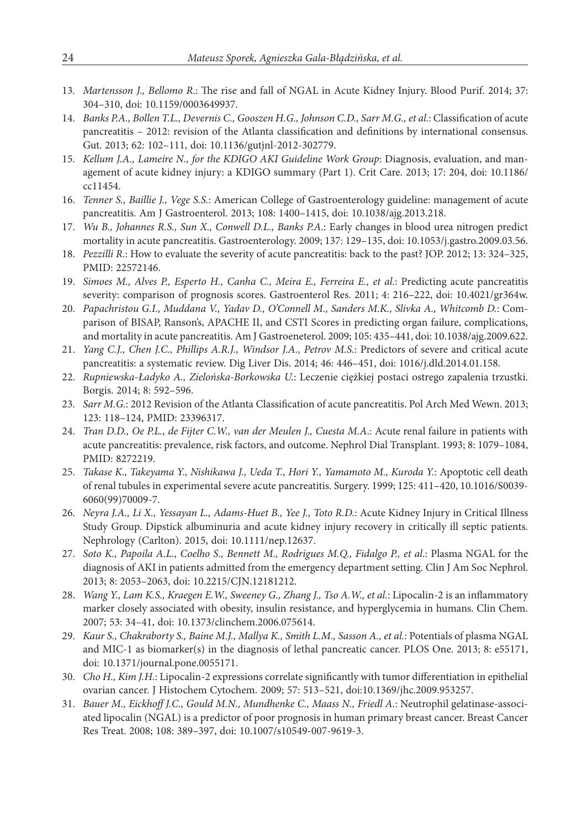- 13*. Martensson J., Bellomo R*.: The rise and fall of NGAL in Acute Kidney Injury. Blood Purif. 2014; 37: 304–310, doi: 10.1159/0003649937.
- 14. *Banks P.A., Bollen T.L., Devernis C., Gooszen H.G., Johnson C.D., Sarr M.G., et al.*: Classification of acute pancreatitis – 2012: revision of the Atlanta classification and definitions by international consensus. Gut. 2013; 62: 102–111, doi: 10.1136/gutjnl-2012-302779.
- 15. *Kellum J.A., Lameire N., for the KDIGO AKI Guideline Work Group*: Diagnosis, evaluation, and management of acute kidney injury: a KDIGO summary (Part 1). Crit Care. 2013; 17: 204, doi: 10.1186/ cc11454.
- 16. *Tenner S., Baillie J., Vege S.S.*: American College of Gastroenterology guideline: management of acute pancreatitis. Am J Gastroenterol. 2013; 108: 1400–1415, doi: 10.1038/ajg.2013.218.
- 17. *Wu B., Johannes R.S., Sun X., Conwell D.L., Banks P.A.*: Early changes in blood urea nitrogen predict mortality in acute pancreatitis. Gastroenterology. 2009; 137: 129–135, doi: 10.1053/j.gastro.2009.03.56.
- 18. *Pezzilli R.*: How to evaluate the severity of acute pancreatitis: back to the past? JOP. 2012; 13: 324–325, PMID: 22572146.
- 19. *Simoes M., Alves P., Esperto H., Canha C., Meira E., Ferreira E., et al.*: Predicting acute pancreatitis severity: comparison of prognosis scores. Gastroenterol Res. 2011; 4: 216–222, doi: 10.4021/gr364w.
- 20. *Papachristou G.I., Muddana V., Yadav D., O'Connell M., Sanders M.K., Slivka A., Whitcomb D.*: Comparison of BISAP, Ranson's, APACHE II, and CSTI Scores in predicting organ failure, complications, and mortality in acute pancreatitis. Am J Gastroeneterol. 2009; 105: 435–441, doi: 10.1038/ajg.2009.622.
- 21. *Yang C.J., Chen J.C., Phillips A.R.J., Windsor J.A., Petrov M.S*.: Predictors of severe and critical acute pancreatitis: a systematic review. Dig Liver Dis. 2014; 46: 446–451, doi: 1016/j.dld.2014.01.158.
- 22. *Rupniewska-Ładyko A., Zielońska-Borkowska U.*: Leczenie ciężkiej postaci ostrego zapalenia trzustki. Borgis. 2014; 8: 592–596.
- 23*. Sarr M.G.*: 2012 Revision of the Atlanta Classification of acute pancreatitis. Pol Arch Med Wewn. 2013; 123: 118–124, PMID: 23396317.
- 24. *Tran D.D., Oe P.L., de Fijter C.W., van der Meulen J., Cuesta M.A*.: Acute renal failure in patients with acute pancreatitis: prevalence, risk factors, and outcome. Nephrol Dial Transplant. 1993; 8: 1079–1084, PMID: 8272219.
- 25. *Takase K., Takeyama Y., Nishikawa J., Ueda T., Hori Y., Yamamoto M., Kuroda Y.*: Apoptotic cell death of renal tubules in experimental severe acute pancreatitis. Surgery. 1999; 125: 411–420, 10.1016/S0039- 6060(99)70009-7.
- 26. *Neyra J.A., Li X., Yessayan L., Adams-Huet B., Yee J., Toto R.D.*: Acute Kidney Injury in Critical Illness Study Group. Dipstick albuminuria and acute kidney injury recovery in critically ill septic patients. Nephrology (Carlton). 2015, doi: 10.1111/nep.12637.
- 27. *Soto K., Papoila A.L., Coelho S., Bennett M., Rodrigues M.Q., Fidalgo P., et al*.: Plasma NGAL for the diagnosis of AKI in patients admitted from the emergency department setting. Clin J Am Soc Nephrol. 2013; 8: 2053–2063, doi: 10.2215/CJN.12181212.
- 28. *Wang Y., Lam K.S., Kraegen E.W., Sweeney G., Zhang J., Tso A.W., et al.*: Lipocalin-2 is an inflammatory marker closely associated with obesity, insulin resistance, and hyperglycemia in humans. Clin Chem. 2007; 53: 34–41, doi: 10.1373/clinchem.2006.075614.
- 29. *Kaur S., Chakraborty S., Baine M.J., Mallya K., Smith L.M., Sasson A., et al.*: Potentials of plasma NGAL and MIC-1 as biomarker(s) in the diagnosis of lethal pancreatic cancer. PLOS One. 2013; 8: e55171, doi: 10.1371/journal.pone.0055171.
- 30. *Cho H., Kim J.H.*: Lipocalin-2 expressions correlate significantly with tumor differentiation in epithelial ovarian cancer. J Histochem Cytochem. 2009; 57: 513–521, doi:10.1369/jhc.2009.953257.
- 31. *Bauer M., Eickhoff J.C., Gould M.N., Mundhenke C., Maass N., Friedl A.*: Neutrophil gelatinase-associated lipocalin (NGAL) is a predictor of poor prognosis in human primary breast cancer. Breast Cancer Res Treat. 2008; 108: 389–397, doi: 10.1007/s10549-007-9619-3.